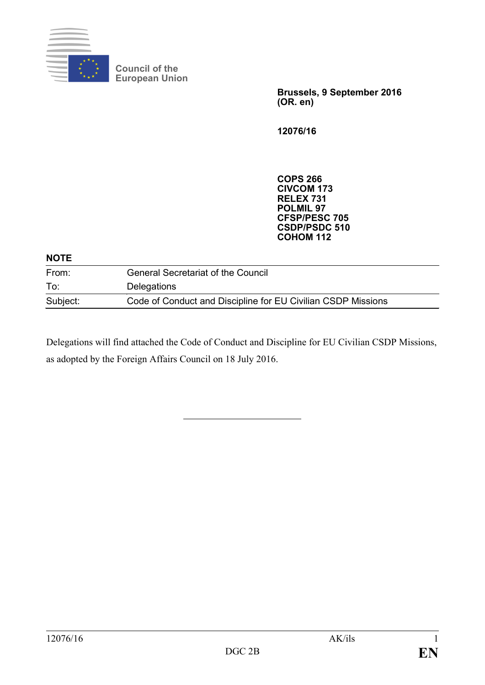

**Council of the European Union**

> **Brussels, 9 September 2016 (OR. en)**

**12076/16**

**COPS 266 CIVCOM 173 RELEX 731 POLMIL 97 CFSP/PESC 705 CSDP/PSDC 510 COHOM 112**

#### **NOTE**

| From:    | <b>General Secretariat of the Council</b>                    |
|----------|--------------------------------------------------------------|
| To:      | <b>Delegations</b>                                           |
| Subject: | Code of Conduct and Discipline for EU Civilian CSDP Missions |

Delegations will find attached the Code of Conduct and Discipline for EU Civilian CSDP Missions, as adopted by the Foreign Affairs Council on 18 July 2016.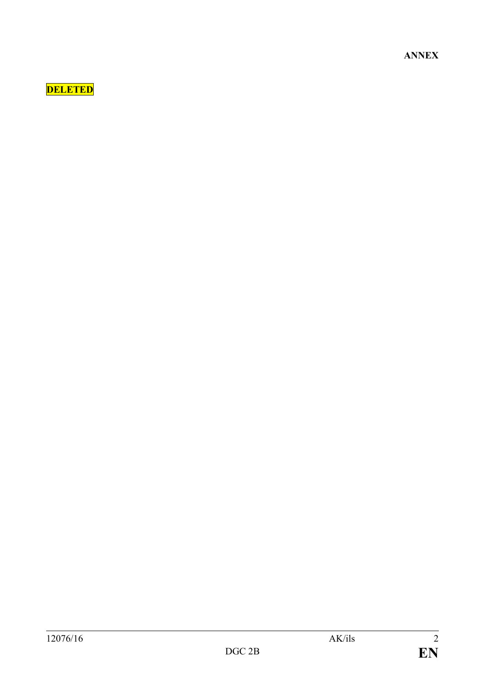**ANNEX**

# **DELETED**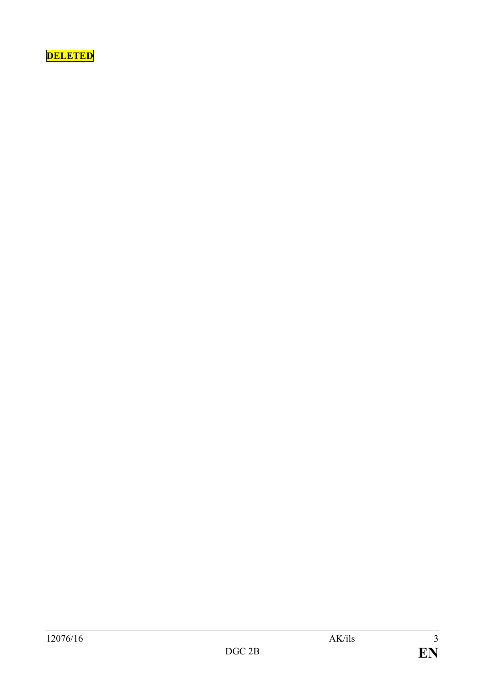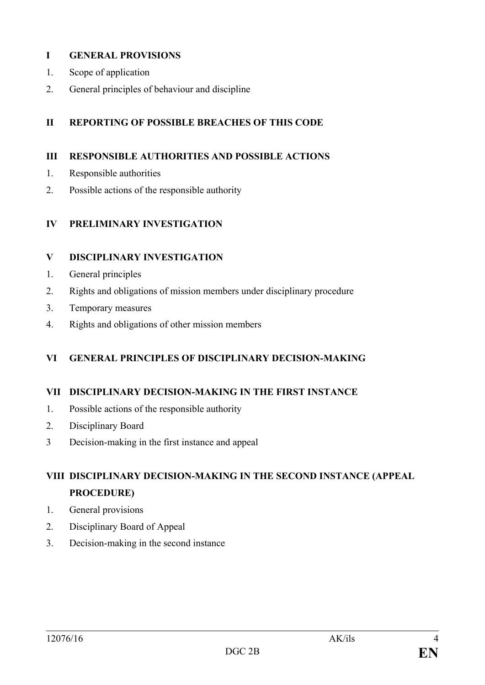### **I GENERAL PROVISIONS**

- 1. Scope of application
- 2. General principles of behaviour and discipline

### **II REPORTING OF POSSIBLE BREACHES OF THIS CODE**

### **III RESPONSIBLE AUTHORITIES AND POSSIBLE ACTIONS**

- 1. Responsible authorities
- 2. Possible actions of the responsible authority

### **IV PRELIMINARY INVESTIGATION**

### **V DISCIPLINARY INVESTIGATION**

- 1. General principles
- 2. Rights and obligations of mission members under disciplinary procedure
- 3. Temporary measures
- 4. Rights and obligations of other mission members

### **VI GENERAL PRINCIPLES OF DISCIPLINARY DECISION-MAKING**

### **VII DISCIPLINARY DECISION-MAKING IN THE FIRST INSTANCE**

- 1. Possible actions of the responsible authority
- 2. Disciplinary Board
- 3 Decision-making in the first instance and appeal

## **VIII DISCIPLINARY DECISION-MAKING IN THE SECOND INSTANCE (APPEAL PROCEDURE)**

- 1. General provisions
- 2. Disciplinary Board of Appeal
- 3. Decision-making in the second instance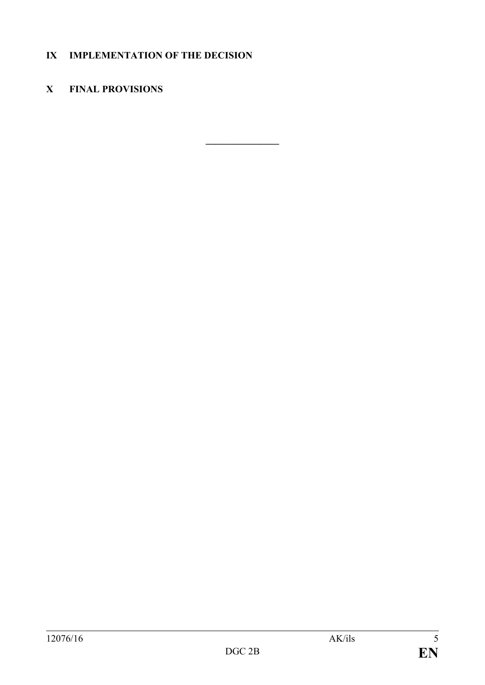### **IX IMPLEMENTATION OF THE DECISION**

### **X FINAL PROVISIONS**

**\_\_\_\_\_\_\_\_\_\_\_\_\_\_\_**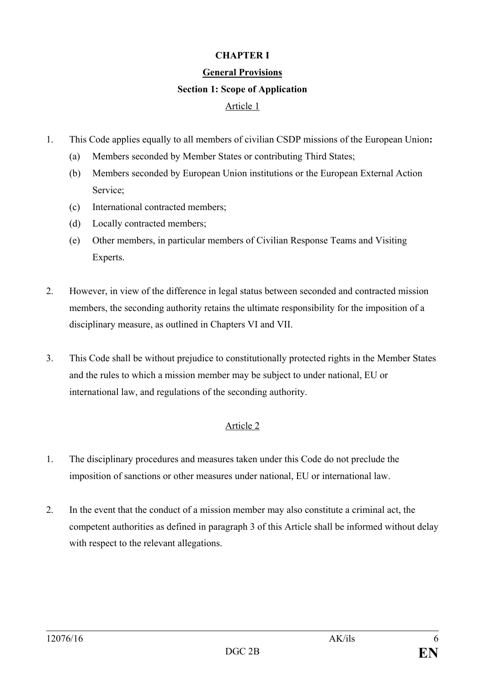### **CHAPTER I**

#### **General Provisions**

#### **Section 1: Scope of Application**

### Article 1

- 1. This Code applies equally to all members of civilian CSDP missions of the European Union**:** 
	- (a) Members seconded by Member States or contributing Third States;
	- (b) Members seconded by European Union institutions or the European External Action Service;
	- (c) International contracted members;
	- (d) Locally contracted members;
	- (e) Other members, in particular members of Civilian Response Teams and Visiting Experts.
- 2. However, in view of the difference in legal status between seconded and contracted mission members, the seconding authority retains the ultimate responsibility for the imposition of a disciplinary measure, as outlined in Chapters VI and VII.
- 3. This Code shall be without prejudice to constitutionally protected rights in the Member States and the rules to which a mission member may be subject to under national, EU or international law, and regulations of the seconding authority.

- 1. The disciplinary procedures and measures taken under this Code do not preclude the imposition of sanctions or other measures under national, EU or international law.
- 2. In the event that the conduct of a mission member may also constitute a criminal act, the competent authorities as defined in paragraph 3 of this Article shall be informed without delay with respect to the relevant allegations.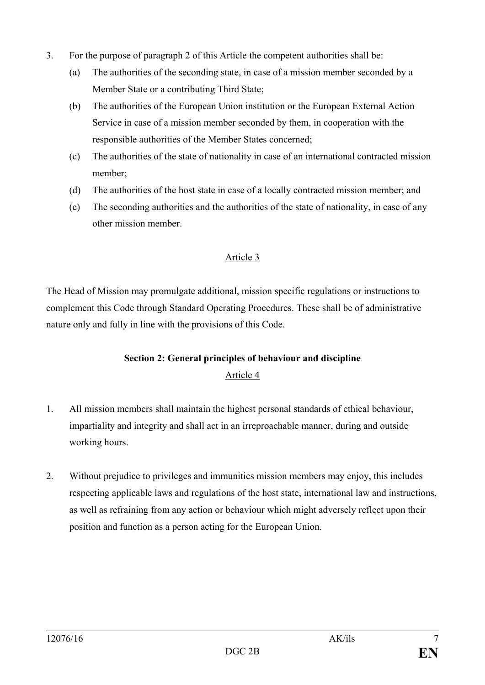- 3. For the purpose of paragraph 2 of this Article the competent authorities shall be:
	- (a) The authorities of the seconding state, in case of a mission member seconded by a Member State or a contributing Third State;
	- (b) The authorities of the European Union institution or the European External Action Service in case of a mission member seconded by them, in cooperation with the responsible authorities of the Member States concerned;
	- (c) The authorities of the state of nationality in case of an international contracted mission member;
	- (d) The authorities of the host state in case of a locally contracted mission member; and
	- (e) The seconding authorities and the authorities of the state of nationality, in case of any other mission member.

The Head of Mission may promulgate additional, mission specific regulations or instructions to complement this Code through Standard Operating Procedures. These shall be of administrative nature only and fully in line with the provisions of this Code.

### **Section 2: General principles of behaviour and discipline** Article 4

- 1. All mission members shall maintain the highest personal standards of ethical behaviour, impartiality and integrity and shall act in an irreproachable manner, during and outside working hours.
- 2. Without prejudice to privileges and immunities mission members may enjoy, this includes respecting applicable laws and regulations of the host state, international law and instructions, as well as refraining from any action or behaviour which might adversely reflect upon their position and function as a person acting for the European Union.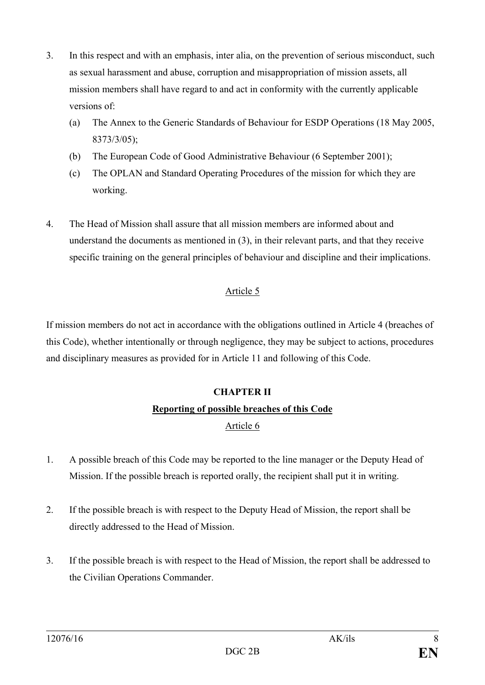- 3. In this respect and with an emphasis, inter alia, on the prevention of serious misconduct, such as sexual harassment and abuse, corruption and misappropriation of mission assets, all mission members shall have regard to and act in conformity with the currently applicable versions of:
	- (a) The Annex to the Generic Standards of Behaviour for ESDP Operations (18 May 2005, 8373/3/05);
	- (b) The European Code of Good Administrative Behaviour (6 September 2001);
	- (c) The OPLAN and Standard Operating Procedures of the mission for which they are working.
- 4. The Head of Mission shall assure that all mission members are informed about and understand the documents as mentioned in (3), in their relevant parts, and that they receive specific training on the general principles of behaviour and discipline and their implications.

If mission members do not act in accordance with the obligations outlined in Article 4 (breaches of this Code), whether intentionally or through negligence, they may be subject to actions, procedures and disciplinary measures as provided for in Article 11 and following of this Code.

# **CHAPTER II Reporting of possible breaches of this Code** Article 6

- 1. A possible breach of this Code may be reported to the line manager or the Deputy Head of Mission. If the possible breach is reported orally, the recipient shall put it in writing.
- 2. If the possible breach is with respect to the Deputy Head of Mission, the report shall be directly addressed to the Head of Mission.
- 3. If the possible breach is with respect to the Head of Mission, the report shall be addressed to the Civilian Operations Commander.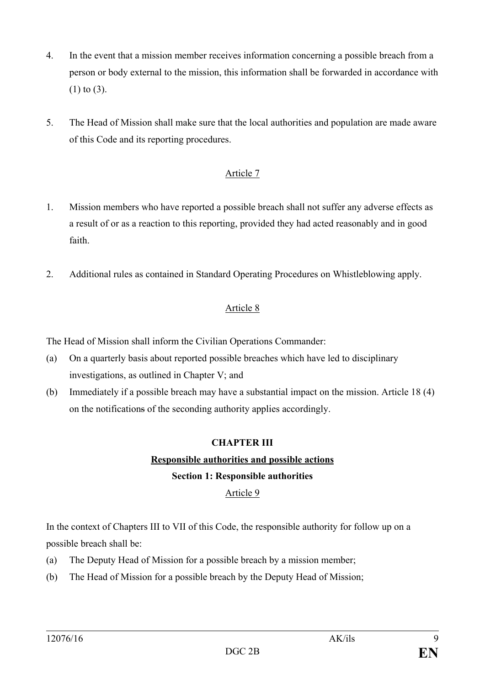- 4. In the event that a mission member receives information concerning a possible breach from a person or body external to the mission, this information shall be forwarded in accordance with (1) to (3).
- 5. The Head of Mission shall make sure that the local authorities and population are made aware of this Code and its reporting procedures.

- 1. Mission members who have reported a possible breach shall not suffer any adverse effects as a result of or as a reaction to this reporting, provided they had acted reasonably and in good faith.
- 2. Additional rules as contained in Standard Operating Procedures on Whistleblowing apply.

### Article 8

The Head of Mission shall inform the Civilian Operations Commander:

- (a) On a quarterly basis about reported possible breaches which have led to disciplinary investigations, as outlined in Chapter V; and
- (b) Immediately if a possible breach may have a substantial impact on the mission. Article 18 (4) on the notifications of the seconding authority applies accordingly.

### **CHAPTER III**

### **Responsible authorities and possible actions**

### **Section 1: Responsible authorities**

### Article 9

In the context of Chapters III to VII of this Code, the responsible authority for follow up on a possible breach shall be:

- (a) The Deputy Head of Mission for a possible breach by a mission member;
- (b) The Head of Mission for a possible breach by the Deputy Head of Mission;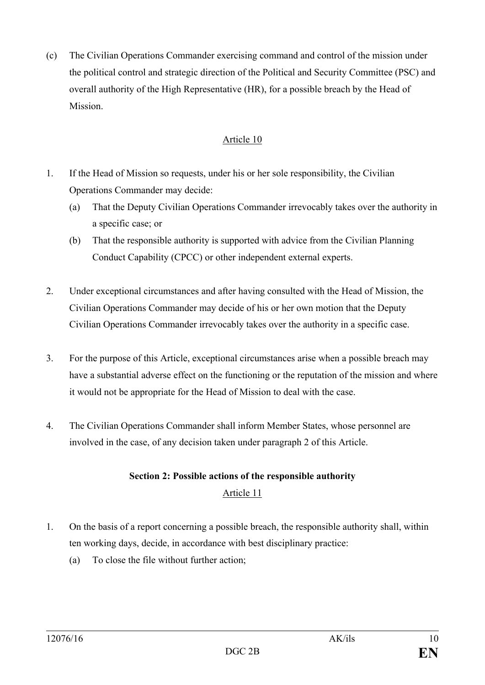(c) The Civilian Operations Commander exercising command and control of the mission under the political control and strategic direction of the Political and Security Committee (PSC) and overall authority of the High Representative (HR), for a possible breach by the Head of Mission.

### Article 10

- 1. If the Head of Mission so requests, under his or her sole responsibility, the Civilian Operations Commander may decide:
	- (a) That the Deputy Civilian Operations Commander irrevocably takes over the authority in a specific case; or
	- (b) That the responsible authority is supported with advice from the Civilian Planning Conduct Capability (CPCC) or other independent external experts.
- 2. Under exceptional circumstances and after having consulted with the Head of Mission, the Civilian Operations Commander may decide of his or her own motion that the Deputy Civilian Operations Commander irrevocably takes over the authority in a specific case.
- 3. For the purpose of this Article, exceptional circumstances arise when a possible breach may have a substantial adverse effect on the functioning or the reputation of the mission and where it would not be appropriate for the Head of Mission to deal with the case.
- 4. The Civilian Operations Commander shall inform Member States, whose personnel are involved in the case, of any decision taken under paragraph 2 of this Article.

# **Section 2: Possible actions of the responsible authority** Article 11

- 1. On the basis of a report concerning a possible breach, the responsible authority shall, within ten working days, decide, in accordance with best disciplinary practice:
	- (a) To close the file without further action;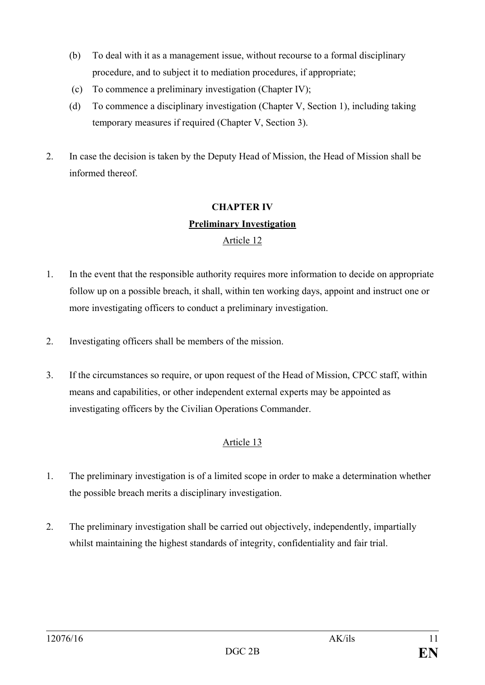- (b) To deal with it as a management issue, without recourse to a formal disciplinary procedure, and to subject it to mediation procedures, if appropriate;
- (c) To commence a preliminary investigation (Chapter IV);
- (d) To commence a disciplinary investigation (Chapter V, Section 1), including taking temporary measures if required (Chapter V, Section 3).
- 2. In case the decision is taken by the Deputy Head of Mission, the Head of Mission shall be informed thereof.

# **CHAPTER IV Preliminary Investigation** Article 12

- 1. In the event that the responsible authority requires more information to decide on appropriate follow up on a possible breach, it shall, within ten working days, appoint and instruct one or more investigating officers to conduct a preliminary investigation.
- 2. Investigating officers shall be members of the mission.
- 3. If the circumstances so require, or upon request of the Head of Mission, CPCC staff, within means and capabilities, or other independent external experts may be appointed as investigating officers by the Civilian Operations Commander.

- 1. The preliminary investigation is of a limited scope in order to make a determination whether the possible breach merits a disciplinary investigation.
- 2. The preliminary investigation shall be carried out objectively, independently, impartially whilst maintaining the highest standards of integrity, confidentiality and fair trial.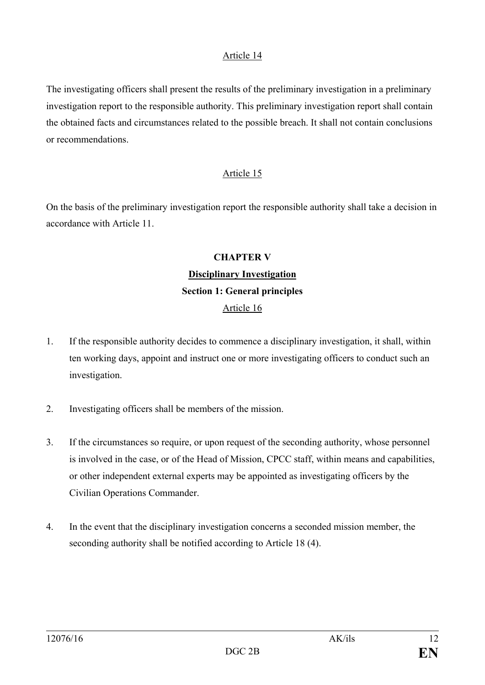The investigating officers shall present the results of the preliminary investigation in a preliminary investigation report to the responsible authority. This preliminary investigation report shall contain the obtained facts and circumstances related to the possible breach. It shall not contain conclusions or recommendations.

### Article 15

On the basis of the preliminary investigation report the responsible authority shall take a decision in accordance with Article 11.

# **CHAPTER V Disciplinary Investigation Section 1: General principles**

- 1. If the responsible authority decides to commence a disciplinary investigation, it shall, within ten working days, appoint and instruct one or more investigating officers to conduct such an investigation.
- 2. Investigating officers shall be members of the mission.
- 3. If the circumstances so require, or upon request of the seconding authority, whose personnel is involved in the case, or of the Head of Mission, CPCC staff, within means and capabilities, or other independent external experts may be appointed as investigating officers by the Civilian Operations Commander.
- 4. In the event that the disciplinary investigation concerns a seconded mission member, the seconding authority shall be notified according to Article 18 (4).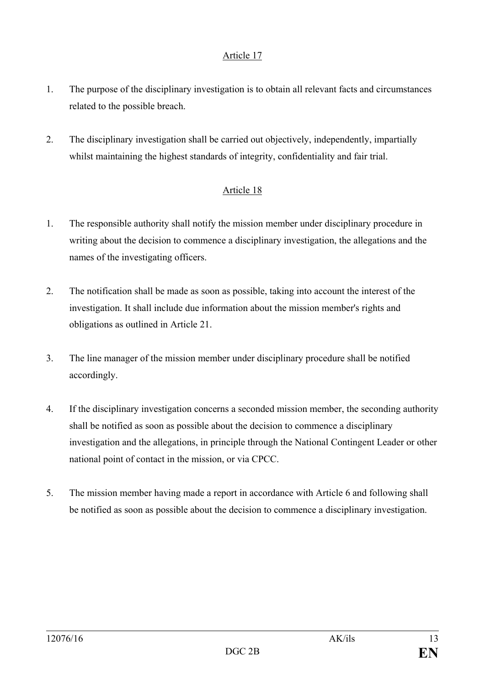- 1. The purpose of the disciplinary investigation is to obtain all relevant facts and circumstances related to the possible breach.
- 2. The disciplinary investigation shall be carried out objectively, independently, impartially whilst maintaining the highest standards of integrity, confidentiality and fair trial.

- 1. The responsible authority shall notify the mission member under disciplinary procedure in writing about the decision to commence a disciplinary investigation, the allegations and the names of the investigating officers.
- 2. The notification shall be made as soon as possible, taking into account the interest of the investigation. It shall include due information about the mission member's rights and obligations as outlined in Article 21.
- 3. The line manager of the mission member under disciplinary procedure shall be notified accordingly.
- 4. If the disciplinary investigation concerns a seconded mission member, the seconding authority shall be notified as soon as possible about the decision to commence a disciplinary investigation and the allegations, in principle through the National Contingent Leader or other national point of contact in the mission, or via CPCC.
- 5. The mission member having made a report in accordance with Article 6 and following shall be notified as soon as possible about the decision to commence a disciplinary investigation.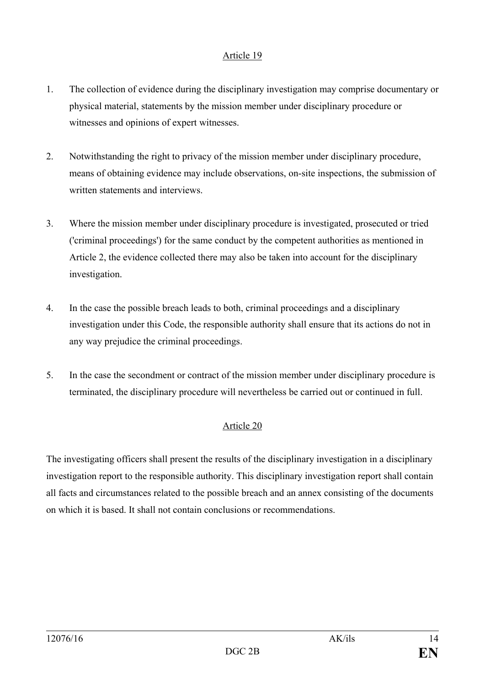- 1. The collection of evidence during the disciplinary investigation may comprise documentary or physical material, statements by the mission member under disciplinary procedure or witnesses and opinions of expert witnesses.
- 2. Notwithstanding the right to privacy of the mission member under disciplinary procedure, means of obtaining evidence may include observations, on-site inspections, the submission of written statements and interviews.
- 3. Where the mission member under disciplinary procedure is investigated, prosecuted or tried ('criminal proceedings') for the same conduct by the competent authorities as mentioned in Article 2, the evidence collected there may also be taken into account for the disciplinary investigation.
- 4. In the case the possible breach leads to both, criminal proceedings and a disciplinary investigation under this Code, the responsible authority shall ensure that its actions do not in any way prejudice the criminal proceedings.
- 5. In the case the secondment or contract of the mission member under disciplinary procedure is terminated, the disciplinary procedure will nevertheless be carried out or continued in full.

### Article 20

The investigating officers shall present the results of the disciplinary investigation in a disciplinary investigation report to the responsible authority. This disciplinary investigation report shall contain all facts and circumstances related to the possible breach and an annex consisting of the documents on which it is based. It shall not contain conclusions or recommendations.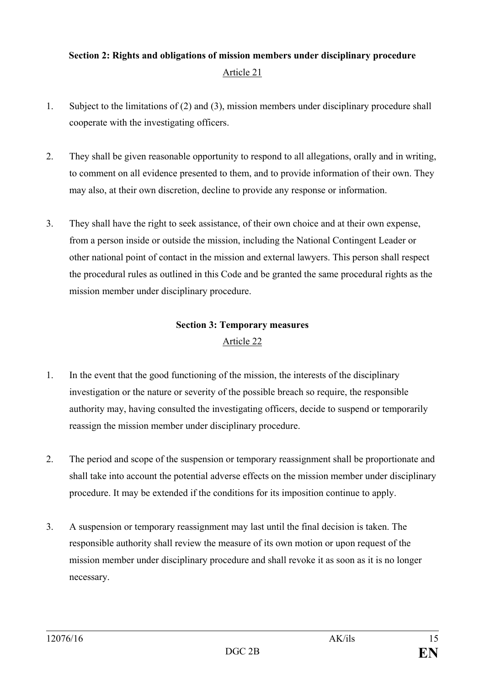### **Section 2: Rights and obligations of mission members under disciplinary procedure** Article 21

- 1. Subject to the limitations of (2) and (3), mission members under disciplinary procedure shall cooperate with the investigating officers.
- 2. They shall be given reasonable opportunity to respond to all allegations, orally and in writing, to comment on all evidence presented to them, and to provide information of their own. They may also, at their own discretion, decline to provide any response or information.
- 3. They shall have the right to seek assistance, of their own choice and at their own expense, from a person inside or outside the mission, including the National Contingent Leader or other national point of contact in the mission and external lawyers. This person shall respect the procedural rules as outlined in this Code and be granted the same procedural rights as the mission member under disciplinary procedure.

# **Section 3: Temporary measures**

- 1. In the event that the good functioning of the mission, the interests of the disciplinary investigation or the nature or severity of the possible breach so require, the responsible authority may, having consulted the investigating officers, decide to suspend or temporarily reassign the mission member under disciplinary procedure.
- 2. The period and scope of the suspension or temporary reassignment shall be proportionate and shall take into account the potential adverse effects on the mission member under disciplinary procedure. It may be extended if the conditions for its imposition continue to apply.
- 3. A suspension or temporary reassignment may last until the final decision is taken. The responsible authority shall review the measure of its own motion or upon request of the mission member under disciplinary procedure and shall revoke it as soon as it is no longer necessary.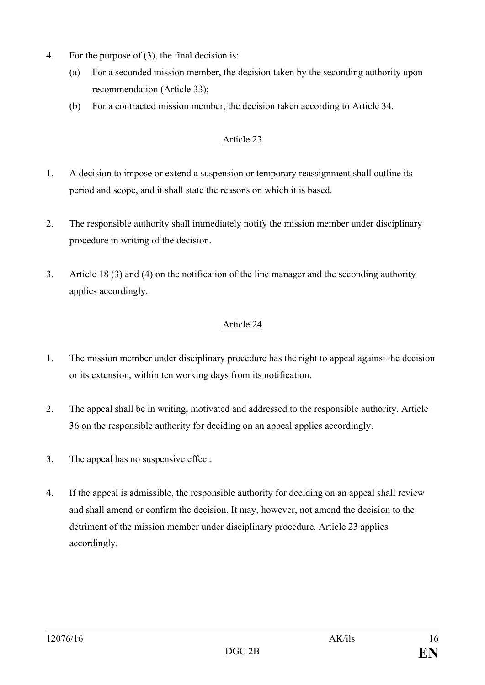- 4. For the purpose of (3), the final decision is:
	- (a) For a seconded mission member, the decision taken by the seconding authority upon recommendation (Article 33);
	- (b) For a contracted mission member, the decision taken according to Article 34.

- 1. A decision to impose or extend a suspension or temporary reassignment shall outline its period and scope, and it shall state the reasons on which it is based.
- 2. The responsible authority shall immediately notify the mission member under disciplinary procedure in writing of the decision.
- 3. Article 18 (3) and (4) on the notification of the line manager and the seconding authority applies accordingly.

- 1. The mission member under disciplinary procedure has the right to appeal against the decision or its extension, within ten working days from its notification.
- 2. The appeal shall be in writing, motivated and addressed to the responsible authority. Article 36 on the responsible authority for deciding on an appeal applies accordingly.
- 3. The appeal has no suspensive effect.
- 4. If the appeal is admissible, the responsible authority for deciding on an appeal shall review and shall amend or confirm the decision. It may, however, not amend the decision to the detriment of the mission member under disciplinary procedure. Article 23 applies accordingly.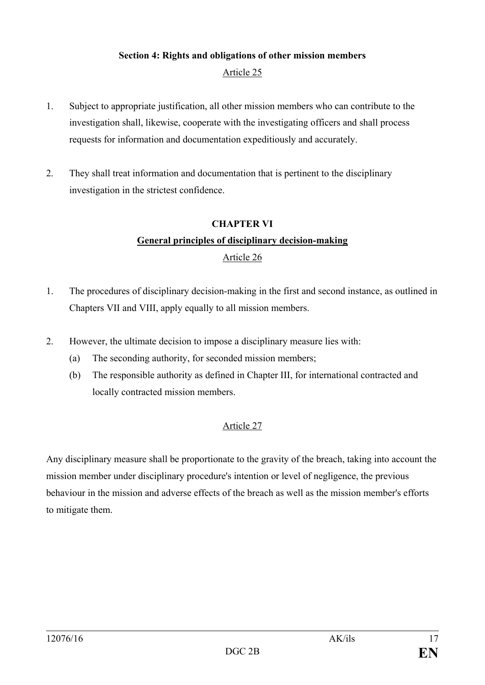### **Section 4: Rights and obligations of other mission members** Article 25

- 1. Subject to appropriate justification, all other mission members who can contribute to the investigation shall, likewise, cooperate with the investigating officers and shall process requests for information and documentation expeditiously and accurately.
- 2. They shall treat information and documentation that is pertinent to the disciplinary investigation in the strictest confidence.

# **CHAPTER VI General principles of disciplinary decision-making**

### Article 26

- 1. The procedures of disciplinary decision-making in the first and second instance, as outlined in Chapters VII and VIII, apply equally to all mission members.
- 2. However, the ultimate decision to impose a disciplinary measure lies with:
	- (a) The seconding authority, for seconded mission members;
	- (b) The responsible authority as defined in Chapter III, for international contracted and locally contracted mission members.

### Article 27

Any disciplinary measure shall be proportionate to the gravity of the breach, taking into account the mission member under disciplinary procedure's intention or level of negligence, the previous behaviour in the mission and adverse effects of the breach as well as the mission member's efforts to mitigate them.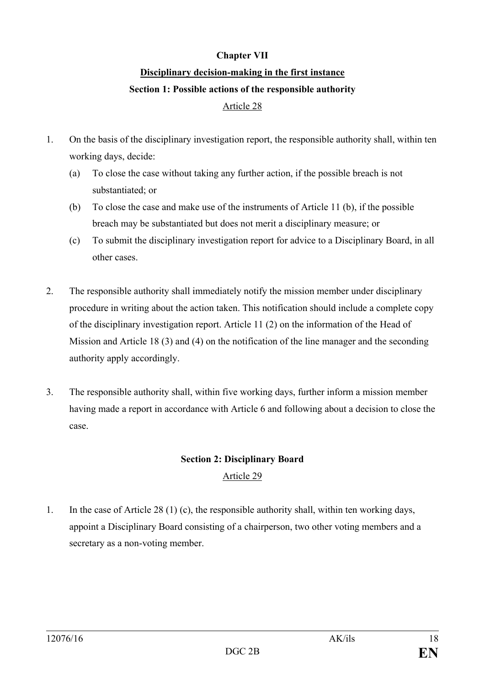### **Chapter VII**

# **Disciplinary decision-making in the first instance Section 1: Possible actions of the responsible authority**

### Article 28

- 1. On the basis of the disciplinary investigation report, the responsible authority shall, within ten working days, decide:
	- (a) To close the case without taking any further action, if the possible breach is not substantiated; or
	- (b) To close the case and make use of the instruments of Article 11 (b), if the possible breach may be substantiated but does not merit a disciplinary measure; or
	- (c) To submit the disciplinary investigation report for advice to a Disciplinary Board, in all other cases.
- 2. The responsible authority shall immediately notify the mission member under disciplinary procedure in writing about the action taken. This notification should include a complete copy of the disciplinary investigation report. Article 11 (2) on the information of the Head of Mission and Article 18 (3) and (4) on the notification of the line manager and the seconding authority apply accordingly.
- 3. The responsible authority shall, within five working days, further inform a mission member having made a report in accordance with Article 6 and following about a decision to close the case.

## **Section 2: Disciplinary Board** Article 29

1. In the case of Article 28 (1) (c), the responsible authority shall, within ten working days, appoint a Disciplinary Board consisting of a chairperson, two other voting members and a secretary as a non-voting member.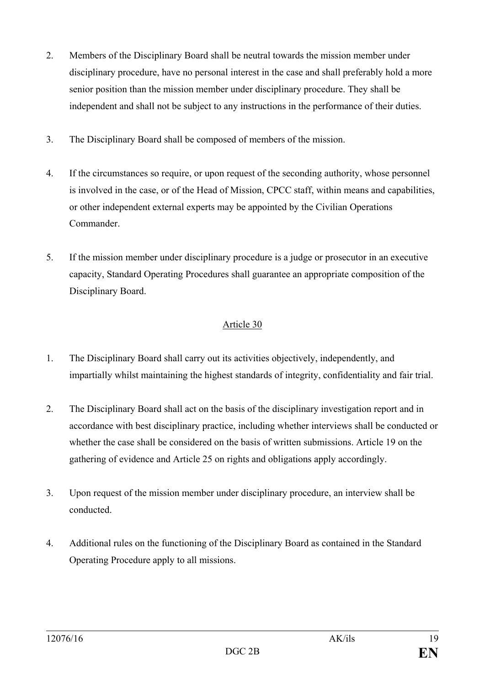- 2. Members of the Disciplinary Board shall be neutral towards the mission member under disciplinary procedure, have no personal interest in the case and shall preferably hold a more senior position than the mission member under disciplinary procedure. They shall be independent and shall not be subject to any instructions in the performance of their duties.
- 3. The Disciplinary Board shall be composed of members of the mission.
- 4. If the circumstances so require, or upon request of the seconding authority, whose personnel is involved in the case, or of the Head of Mission, CPCC staff, within means and capabilities, or other independent external experts may be appointed by the Civilian Operations Commander.
- 5. If the mission member under disciplinary procedure is a judge or prosecutor in an executive capacity, Standard Operating Procedures shall guarantee an appropriate composition of the Disciplinary Board.

- 1. The Disciplinary Board shall carry out its activities objectively, independently, and impartially whilst maintaining the highest standards of integrity, confidentiality and fair trial.
- 2. The Disciplinary Board shall act on the basis of the disciplinary investigation report and in accordance with best disciplinary practice, including whether interviews shall be conducted or whether the case shall be considered on the basis of written submissions. Article 19 on the gathering of evidence and Article 25 on rights and obligations apply accordingly.
- 3. Upon request of the mission member under disciplinary procedure, an interview shall be conducted.
- 4. Additional rules on the functioning of the Disciplinary Board as contained in the Standard Operating Procedure apply to all missions.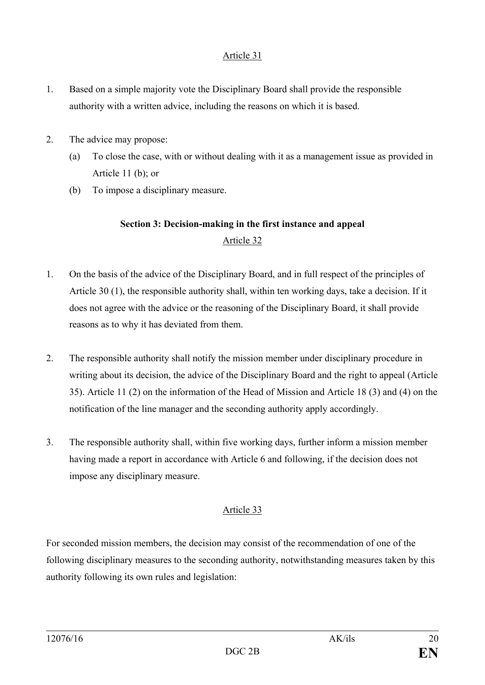- 1. Based on a simple majority vote the Disciplinary Board shall provide the responsible authority with a written advice, including the reasons on which it is based.
- 2. The advice may propose:
	- (a) To close the case, with or without dealing with it as a management issue as provided in Article 11 (b); or
	- (b) To impose a disciplinary measure.

# **Section 3: Decision-making in the first instance and appeal** Article 32

- 1. On the basis of the advice of the Disciplinary Board, and in full respect of the principles of Article 30 (1), the responsible authority shall, within ten working days, take a decision. If it does not agree with the advice or the reasoning of the Disciplinary Board, it shall provide reasons as to why it has deviated from them.
- 2. The responsible authority shall notify the mission member under disciplinary procedure in writing about its decision, the advice of the Disciplinary Board and the right to appeal (Article 35). Article 11 (2) on the information of the Head of Mission and Article 18 (3) and (4) on the notification of the line manager and the seconding authority apply accordingly.
- 3. The responsible authority shall, within five working days, further inform a mission member having made a report in accordance with Article 6 and following, if the decision does not impose any disciplinary measure.

### Article 33

For seconded mission members, the decision may consist of the recommendation of one of the following disciplinary measures to the seconding authority, notwithstanding measures taken by this authority following its own rules and legislation: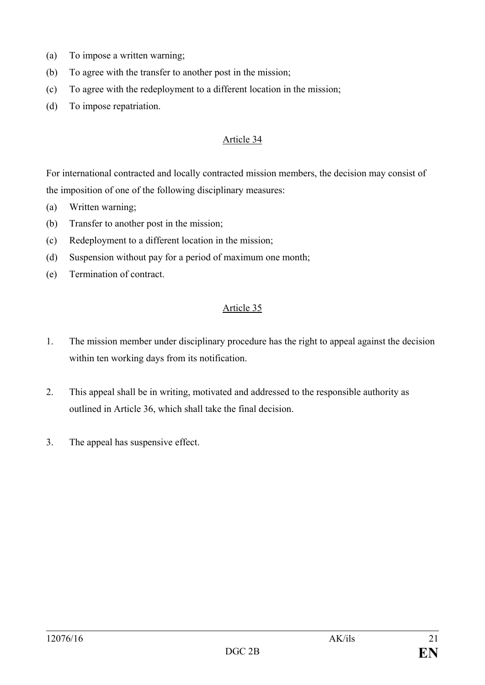- (a) To impose a written warning;
- (b) To agree with the transfer to another post in the mission;
- (c) To agree with the redeployment to a different location in the mission;
- (d) To impose repatriation.

For international contracted and locally contracted mission members, the decision may consist of the imposition of one of the following disciplinary measures:

- (a) Written warning;
- (b) Transfer to another post in the mission;
- (c) Redeployment to a different location in the mission;
- (d) Suspension without pay for a period of maximum one month;
- (e) Termination of contract.

- 1. The mission member under disciplinary procedure has the right to appeal against the decision within ten working days from its notification.
- 2. This appeal shall be in writing, motivated and addressed to the responsible authority as outlined in Article 36, which shall take the final decision.
- 3. The appeal has suspensive effect.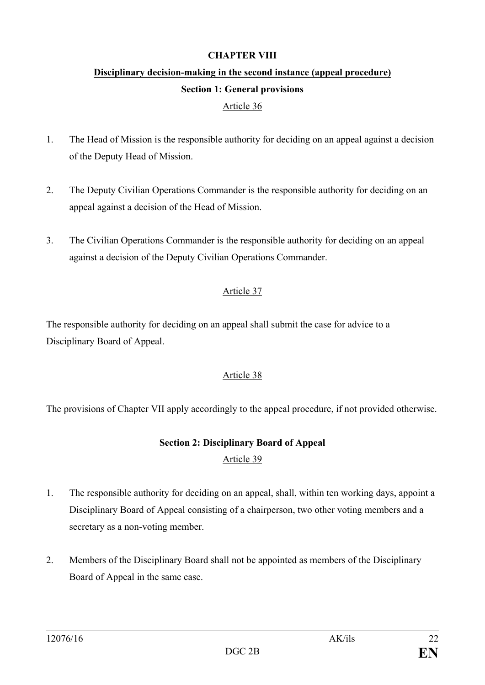#### **CHAPTER VIII**

# **Disciplinary decision-making in the second instance (appeal procedure) Section 1: General provisions**

### Article 36

- 1. The Head of Mission is the responsible authority for deciding on an appeal against a decision of the Deputy Head of Mission.
- 2. The Deputy Civilian Operations Commander is the responsible authority for deciding on an appeal against a decision of the Head of Mission.
- 3. The Civilian Operations Commander is the responsible authority for deciding on an appeal against a decision of the Deputy Civilian Operations Commander.

### Article 37

The responsible authority for deciding on an appeal shall submit the case for advice to a Disciplinary Board of Appeal.

### Article 38

The provisions of Chapter VII apply accordingly to the appeal procedure, if not provided otherwise.

### **Section 2: Disciplinary Board of Appeal** Article 39

- 1. The responsible authority for deciding on an appeal, shall, within ten working days, appoint a Disciplinary Board of Appeal consisting of a chairperson, two other voting members and a secretary as a non-voting member.
- 2. Members of the Disciplinary Board shall not be appointed as members of the Disciplinary Board of Appeal in the same case.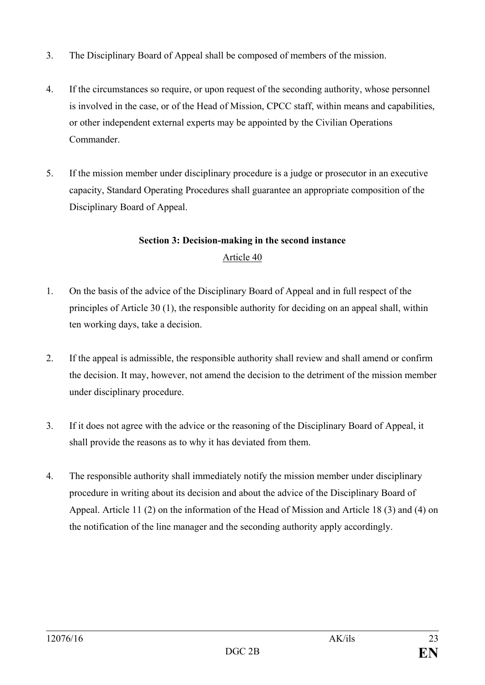- 3. The Disciplinary Board of Appeal shall be composed of members of the mission.
- 4. If the circumstances so require, or upon request of the seconding authority, whose personnel is involved in the case, or of the Head of Mission, CPCC staff, within means and capabilities, or other independent external experts may be appointed by the Civilian Operations **Commander**
- 5. If the mission member under disciplinary procedure is a judge or prosecutor in an executive capacity, Standard Operating Procedures shall guarantee an appropriate composition of the Disciplinary Board of Appeal.

### **Section 3: Decision-making in the second instance** Article 40

- 1. On the basis of the advice of the Disciplinary Board of Appeal and in full respect of the principles of Article 30 (1), the responsible authority for deciding on an appeal shall, within ten working days, take a decision.
- 2. If the appeal is admissible, the responsible authority shall review and shall amend or confirm the decision. It may, however, not amend the decision to the detriment of the mission member under disciplinary procedure.
- 3. If it does not agree with the advice or the reasoning of the Disciplinary Board of Appeal, it shall provide the reasons as to why it has deviated from them.
- 4. The responsible authority shall immediately notify the mission member under disciplinary procedure in writing about its decision and about the advice of the Disciplinary Board of Appeal. Article 11 (2) on the information of the Head of Mission and Article 18 (3) and (4) on the notification of the line manager and the seconding authority apply accordingly.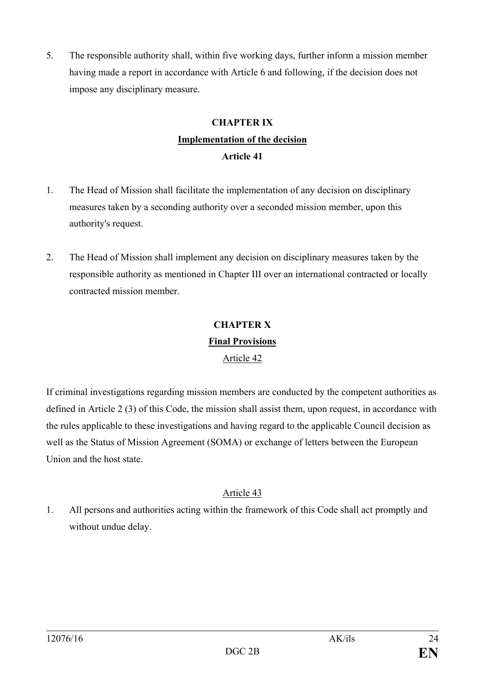5. The responsible authority shall, within five working days, further inform a mission member having made a report in accordance with Article 6 and following, if the decision does not impose any disciplinary measure.

## **CHAPTER IX Implementation of the decision Article 41**

- 1. The Head of Mission shall facilitate the implementation of any decision on disciplinary measures taken by a seconding authority over a seconded mission member, upon this authority's request.
- 2. The Head of Mission shall implement any decision on disciplinary measures taken by the responsible authority as mentioned in Chapter III over an international contracted or locally contracted mission member.

# **CHAPTER X Final Provisions** Article 42

If criminal investigations regarding mission members are conducted by the competent authorities as defined in Article 2 (3) of this Code, the mission shall assist them, upon request, in accordance with the rules applicable to these investigations and having regard to the applicable Council decision as well as the Status of Mission Agreement (SOMA) or exchange of letters between the European Union and the host state.

### Article 43

1. All persons and authorities acting within the framework of this Code shall act promptly and without undue delay.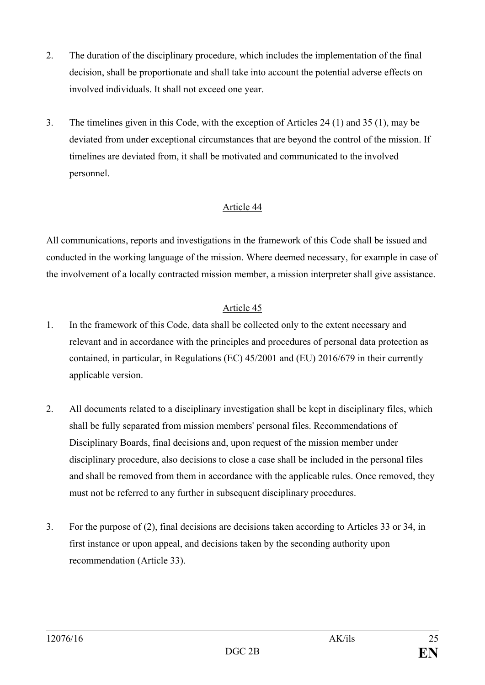- 2. The duration of the disciplinary procedure, which includes the implementation of the final decision, shall be proportionate and shall take into account the potential adverse effects on involved individuals. It shall not exceed one year.
- 3. The timelines given in this Code, with the exception of Articles 24 (1) and 35 (1), may be deviated from under exceptional circumstances that are beyond the control of the mission. If timelines are deviated from, it shall be motivated and communicated to the involved personnel.

All communications, reports and investigations in the framework of this Code shall be issued and conducted in the working language of the mission. Where deemed necessary, for example in case of the involvement of a locally contracted mission member, a mission interpreter shall give assistance.

- 1. In the framework of this Code, data shall be collected only to the extent necessary and relevant and in accordance with the principles and procedures of personal data protection as contained, in particular, in Regulations (EC) 45/2001 and (EU) 2016/679 in their currently applicable version.
- 2. All documents related to a disciplinary investigation shall be kept in disciplinary files, which shall be fully separated from mission members' personal files. Recommendations of Disciplinary Boards, final decisions and, upon request of the mission member under disciplinary procedure, also decisions to close a case shall be included in the personal files and shall be removed from them in accordance with the applicable rules. Once removed, they must not be referred to any further in subsequent disciplinary procedures.
- 3. For the purpose of (2), final decisions are decisions taken according to Articles 33 or 34, in first instance or upon appeal, and decisions taken by the seconding authority upon recommendation (Article 33).